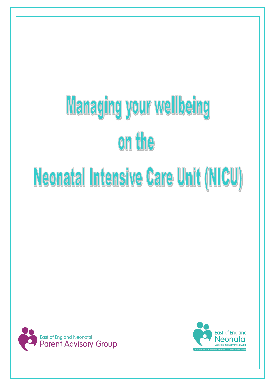# **Managing your wellbeing** on the Neonatal Intensive Care Unit (NICU)



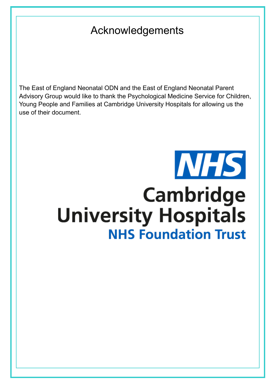# Acknowledgements

The East of England Neonatal ODN and the East of England Neonatal Parent Advisory Group would like to thank the Psychological Medicine Service for Children, Young People and Families at Cambridge University Hospitals for allowing us the use of their document.

# **NHS Cambridge University Hospitals NHS Foundation Trust**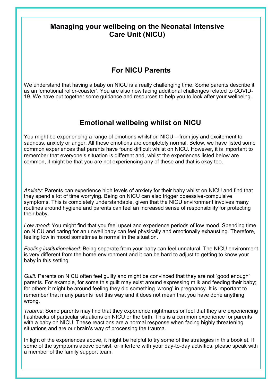# **Managing your wellbeing on the Neonatal Intensive Care Unit (NICU)**

# **For NICU Parents**

We understand that having a baby on NICU is a really challenging time. Some parents describe it as an 'emotional roller-coaster'. You are also now facing additional challenges related to COVID-19. We have put together some guidance and resources to help you to look after your wellbeing.

# **Emotional wellbeing whilst on NICU**

You might be experiencing a range of emotions whilst on NICU – from joy and excitement to sadness, anxiety or anger. All these emotions are completely normal. Below, we have listed some common experiences that parents have found difficult whilst on NICU. However, it is important to remember that everyone's situation is different and, whilst the experiences listed below are common, it might be that you are not experiencing any of these and that is okay too.

*Anxiety:* Parents can experience high levels of anxiety for their baby whilst on NICU and find that they spend a lot of time worrying. Being on NICU can also trigger obsessive-compulsive symptoms. This is completely understandable, given that the NICU environment involves many routines around hygiene and parents can feel an increased sense of responsibility for protecting their baby.

*Low mood:* You might find that you feel upset and experience periods of low mood. Spending time on NICU and caring for an unwell baby can feel physically and emotionally exhausting. Therefore, feeling low in mood sometimes is normal in the situation.

*Feeling institutionalised:* Being separate from your baby can feel unnatural. The NICU environment is very different from the home environment and it can be hard to adjust to getting to know your baby in this setting.

*Guilt:* Parents on NICU often feel guilty and might be convinced that they are not 'good enough' parents. For example, for some this guilt may exist around expressing milk and feeding their baby; for others it might be around feeling they did something 'wrong' in pregnancy. It is important to remember that many parents feel this way and it does not mean that you have done anything wrong.

*Trauma*: Some parents may find that they experience nightmares or feel that they are experiencing flashbacks of particular situations on NICU or the birth. This is a common experience for parents with a baby on NICU. These reactions are a normal response when facing highly threatening situations and are our brain's way of processing the trauma.

In light of the experiences above, it might be helpful to try some of the strategies in this booklet. If some of the symptoms above persist, or interfere with your day-to-day activities, please speak with a member of the family support team.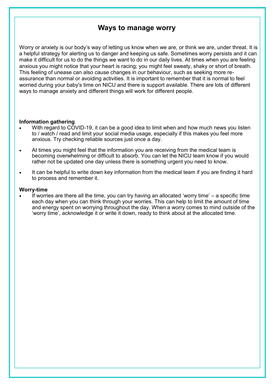# **Ways to manage worry**

Worry or anxiety is our body's way of letting us know when we are, or think we are, under threat. It is a helpful strategy for alerting us to danger and keeping us safe. Sometimes worry persists and it can make it difficult for us to do the things we want to do in our daily lives. At times when you are feeling anxious you might notice that your heart is racing; you might feel sweaty, shaky or short of breath. This feeling of unease can also cause changes in our behaviour, such as seeking more reassurance than normal or avoiding activities. It is important to remember that it is normal to feel worried during your baby's time on NICU and there is support available. There are lots of different ways to manage anxiety and different things will work for different people.

#### **Information gathering**

- With regard to COVID-19, it can be a good idea to limit when and how much news you listen to / watch / read and limit your social media usage, especially if this makes you feel more anxious. Try checking reliable sources just once a day.
- At times you might feel that the information you are receiving from the medical team is becoming overwhelming or difficult to absorb. You can let the NICU team know if you would rather not be updated one day unless there is something urgent you need to know.
- It can be helpful to write down key information from the medical team if you are finding it hard to process and remember it.

#### **Worry-time**

If worries are there all the time, you can try having an allocated 'worry time'  $-$  a specific time each day when you can think through your worries. This can help to limit the amount of time and energy spent on worrying throughout the day. When a worry comes to mind outside of the 'worry time', acknowledge it or write it down, ready to think about at the allocated time.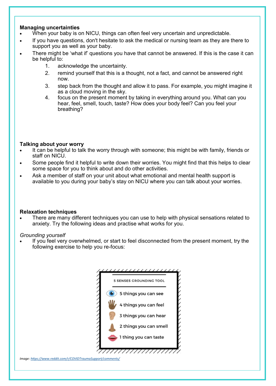#### **Managing uncertainties**

- When your baby is on NICU, things can often feel very uncertain and unpredictable.
- If you have questions, don't hesitate to ask the medical or nursing team as they are there to support you as well as your baby.
- There might be 'what if' questions you have that cannot be answered. If this is the case it can be helpful to:
	- 1. acknowledge the uncertainty.
	- 2. remind yourself that this is a thought, not a fact, and cannot be answered right now.
	- 3. step back from the thought and allow it to pass. For example, you might imagine it as a cloud moving in the sky.
	- 4. focus on the present moment by taking in everything around you. What can you hear, feel, smell, touch, taste? How does your body feel? Can you feel your breathing?

#### **Talking about your worry**

- It can be helpful to talk the worry through with someone; this might be with family, friends or staff on NICU.
- Some people find it helpful to write down their worries. You might find that this helps to clear some space for you to think about and do other activities.
- Ask a member of staff on your unit about what emotional and mental health support is available to you during your baby's stay on NICU where you can talk about your worries.

#### **Relaxation techniques**

• There are many different techniques you can use to help with physical sensations related to anxiety. Try the following ideas and practise what works for you.

#### *Grounding yourself*

If you feel very overwhelmed, or start to feel disconnected from the present moment, try the following exercise to help you re-focus:



*Image: [https://www.reddit.com/r/COVIDTraumaSupport/comments/](https://www.reddit.com/r/COVIDTraumaSupport/comments/fz1a5r/5_senses_grounding_technique_for_ptsd_symptoms/)*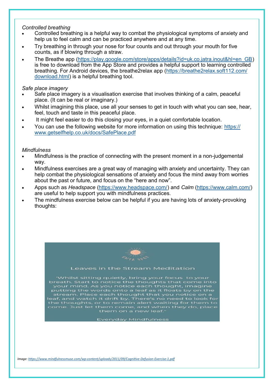#### *Controlled breathing*

- Controlled breathing is a helpful way to combat the physiological symptoms of anxiety and help us to feel calm and can be practiced anywhere and at any time.
- Try breathing in through your nose for four counts and out through your mouth for five counts, as if blowing through a straw.
- The Breathe app [\(https://play.google.com/store/apps/details?id=uk.co.jatra.inout&hl=en\\_GB\)](https://play.google.com/store/apps/details?id=uk.co.jatra.inout&hl=en_GB) is free to download from the App Store and provides a helpful support to learning controlled breathing. For Android devices, the breathe2relax app ([https://breathe2relax.soft112.com/](https://breathe2relax.soft112.com/download.html) [download.html\)](https://breathe2relax.soft112.com/download.html) is a helpful breathing tool.

#### *Safe place imagery*

- Safe place imagery is a visualisation exercise that involves thinking of a calm, peaceful place. (It can be real or imaginary.)
- Whilst imagining this place, use all your senses to get in touch with what you can see, hear, feel, touch and taste in this peaceful place.
- It might feel easier to do this closing your eyes, in a quiet comfortable location.
- You can use the following website for more information on using this technique: [https://](https://www.getselfhelp.co.uk/docs/SafePlace.pdf) [www.getselfhelp.co.uk/docs/SafePlace.pdf](https://www.getselfhelp.co.uk/docs/SafePlace.pdf)

#### *Mindfulness*

- Mindfulness is the practice of connecting with the present moment in a non-judgemental way.
- Mindfulness exercises are a great way of managing with anxiety and uncertainty. They can help combat the physiological sensations of anxiety and focus the mind away from worries about the past or future, and focus on the "here and now".
- Apps such as *Headspace* ([https://www.headspace.com/\)](https://www.headspace.com/) and *Calm* [\(https://www.calm.com/\)](https://www.calm.com/) are useful to help support you with mindfulness practices.
- The mindfulness exercise below can be helpful if you are having lots of anxiety-provoking thoughts:



#### Leaves in the Stream Meditation

Whilst sitting quietly, bring your focus to your Whilst sitting quietly, bring your rocus to your<br>breath. Start to notice the thoughts that come into<br>your mind. As you notice each thought, imagine<br>putting the words onto a leaf as it floats by on the<br>stream. Place each th che choughts, of to remain alort waiting for chemico<br>come. Just let them come, and when they do, place<br>them on a new leaf."

**Everyday Mindfulness**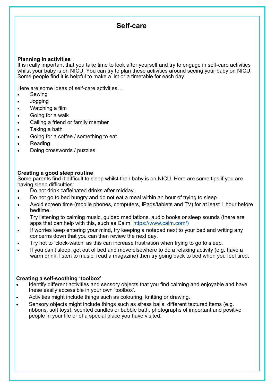# **Self-care**

#### **Planning in activities**

It is really important that you take time to look after yourself and try to engage in self-care activities whilst your baby is on NICU. You can try to plan these activities around seeing your baby on NICU. Some people find it is helpful to make a list or a timetable for each day.

Here are some ideas of self-care activities…

- Sewing
- Jogging
- Watching a film
- Going for a walk
- Calling a friend or family member
- Taking a bath
- Going for a coffee / something to eat
- Reading
- Doing crosswords / puzzles

#### **Creating a good sleep routine**

Some parents find it difficult to sleep whilst their baby is on NICU. Here are some tips if you are having sleep difficulties:

- Do not drink caffeinated drinks after midday.
- Do not go to bed hungry and do not eat a meal within an hour of trying to sleep.
- Avoid screen time (mobile phones, computers, iPads/tablets and TV) for at least 1 hour before bedtime.
- Try listening to calming music, guided meditations, audio books or sleep sounds (there are apps that can help with this, such as Calm; [https://www.calm.com/\)](https://www.calm.com/)
- If worries keep entering your mind, try keeping a notepad next to your bed and writing any concerns down that you can then review the next day.
- Try not to 'clock-watch' as this can increase frustration when trying to go to sleep.
- If you can't sleep, get out of bed and move elsewhere to do a relaxing activity (e.g. have a warm drink, listen to music, read a magazine) then try going back to bed when you feel tired.

#### **Creating a self-soothing 'toolbox'**

- Identify different activities and sensory objects that you find calming and enjoyable and have these easily accessible in your own 'toolbox'.
- Activities might include things such as colouring, knitting or drawing.
- Sensory objects might include things such as stress balls, different textured items (e.g. ribbons, soft toys), scented candles or bubble bath, photographs of important and positive people in your life or of a special place you have visited.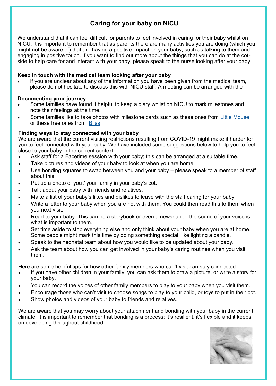## **Caring for your baby on NICU**

We understand that it can feel difficult for parents to feel involved in caring for their baby whilst on NICU. It is important to remember that as parents there are many activities you are doing (which you might not be aware of) that are having a positive impact on your baby, such as talking to them and engaging in positive touch. If you want to find out more about the things that you can do at the cotside to help care for and interact with your baby, please speak to the nurse looking after your baby.

#### **Keep in touch with the medical team looking after your baby**

If you are unclear about any of the information you have been given from the medical team. please do not hesitate to discuss this with NICU staff. A meeting can be arranged with the

#### **Documenting your journey**

- Some families have found it helpful to keep a diary whilst on NICU to mark milestones and note their feelings at the time.
- Some families like to take photos with milestone cards such as these ones from [Little Mouse](https://www.little-mouse.co.uk/collections/premature-baby-milestone-cards/milestone-cards) or these free ones from [Bliss](https://shop.bliss.org.uk/en/products/information-and-support/bliss-baby-cards-sponsored-by-waterwipes)

#### **Finding ways to stay connected with your baby**

We are aware that the current visiting restrictions resulting from COVID-19 might make it harder for you to feel connected with your baby. We have included some suggestions below to help you to feel close to your baby in the current context:

- Ask staff for a Facetime session with your baby; this can be arranged at a suitable time.
- Take pictures and videos of your baby to look at when you are home.
- Use bonding squares to swap between you and your baby please speak to a member of staff about this.
- Put up a photo of you / your family in your baby's cot.
- Talk about your baby with friends and relatives.
- Make a list of your baby's likes and dislikes to leave with the staff caring for your baby.
- Write a letter to your baby when you are not with them. You could then read this to them when you next visit.
- Read to your baby. This can be a storybook or even a newspaper, the sound of your voice is what is important to them.
- Set time aside to stop everything else and only think about your baby when you are at home. Some people might mark this time by doing something special, like lighting a candle.
- Speak to the neonatal team about how you would like to be updated about your baby.
- Ask the team about how you can get involved in your baby's caring routines when you visit them.

Here are some helpful tips for how other family members who can't visit can stay connected:

- If you have other children in your family, you can ask them to draw a picture, or write a story for your baby.
- You can record the voices of other family members to play to your baby when you visit them.
- Encourage those who can't visit to choose songs to play to your child, or toys to put in their cot.
- Show photos and videos of your baby to friends and relatives.

We are aware that you may worry about your attachment and bonding with your baby in the current climate. It is important to remember that bonding is a process; it's resilient, it's flexible and it keeps on developing throughout childhood.